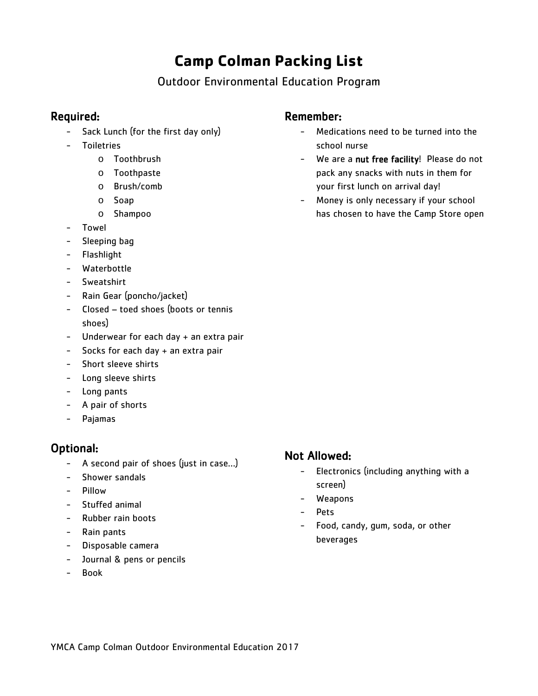# **Camp Colman Packing List**

## Outdoor Environmental Education Program

## Required:

- Sack Lunch (for the first day only)
- Toiletries
	- o Toothbrush
	- o Toothpaste
	- o Brush/comb
	- o Soap
	- o Shampoo
- Towel
- Sleeping bag
- Flashlight
- Waterbottle
- Sweatshirt
- Rain Gear (poncho/jacket)
- Closed toed shoes (boots or tennis shoes)
- Underwear for each day + an extra pair
- Socks for each day + an extra pair
- Short sleeve shirts
- Long sleeve shirts
- Long pants
- A pair of shorts
- Pajamas

## Optional:

- A second pair of shoes (just in case…)
- Shower sandals
- Pillow
- Stuffed animal
- Rubber rain boots
- Rain pants
- Disposable camera
- Journal & pens or pencils
- Book

### Remember:

- Medications need to be turned into the school nurse
- We are a nut free facility! Please do not pack any snacks with nuts in them for your first lunch on arrival day!
- Money is only necessary if your school has chosen to have the Camp Store open

## Not Allowed:

- Electronics (including anything with a screen)
- Weapons
- Pets
- Food, candy, gum, soda, or other beverages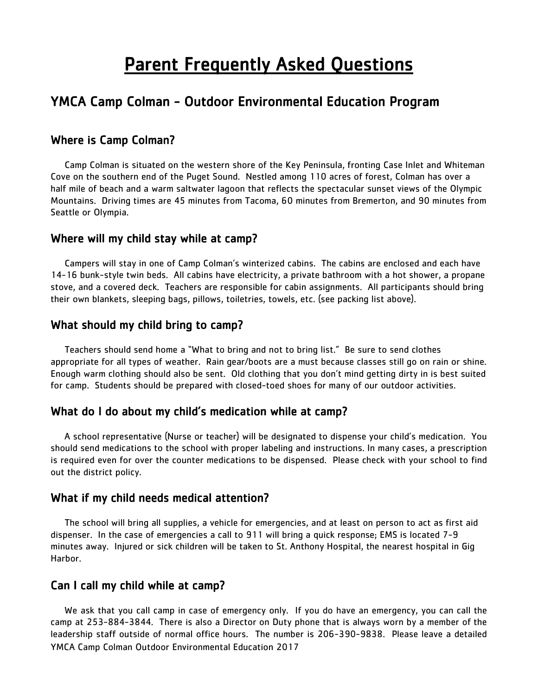# **Parent Frequently Asked Questions**

## YMCA Camp Colman - Outdoor Environmental Education Program

#### Where is Camp Colman?

 Camp Colman is situated on the western shore of the Key Peninsula, fronting Case Inlet and Whiteman Cove on the southern end of the Puget Sound. Nestled among 110 acres of forest, Colman has over a half mile of beach and a warm saltwater lagoon that reflects the spectacular sunset views of the Olympic Mountains. Driving times are 45 minutes from Tacoma, 60 minutes from Bremerton, and 90 minutes from Seattle or Olympia.

#### Where will my child stay while at camp?

 Campers will stay in one of Camp Colman's winterized cabins. The cabins are enclosed and each have 14-16 bunk-style twin beds. All cabins have electricity, a private bathroom with a hot shower, a propane stove, and a covered deck. Teachers are responsible for cabin assignments. All participants should bring their own blankets, sleeping bags, pillows, toiletries, towels, etc. (see packing list above).

#### What should my child bring to camp?

 Teachers should send home a "What to bring and not to bring list." Be sure to send clothes appropriate for all types of weather. Rain gear/boots are a must because classes still go on rain or shine. Enough warm clothing should also be sent. Old clothing that you don't mind getting dirty in is best suited for camp. Students should be prepared with closed-toed shoes for many of our outdoor activities.

#### What do I do about my child's medication while at camp?

 A school representative (Nurse or teacher) will be designated to dispense your child's medication. You should send medications to the school with proper labeling and instructions. In many cases, a prescription is required even for over the counter medications to be dispensed. Please check with your school to find out the district policy.

#### What if my child needs medical attention?

 The school will bring all supplies, a vehicle for emergencies, and at least on person to act as first aid dispenser. In the case of emergencies a call to 911 will bring a quick response; EMS is located 7-9 minutes away. Injured or sick children will be taken to St. Anthony Hospital, the nearest hospital in Gig Harbor.

### Can I call my child while at camp?

YMCA Camp Colman Outdoor Environmental Education 2017 We ask that you call camp in case of emergency only. If you do have an emergency, you can call the camp at 253-884-3844. There is also a Director on Duty phone that is always worn by a member of the leadership staff outside of normal office hours. The number is 206-390-9838. Please leave a detailed